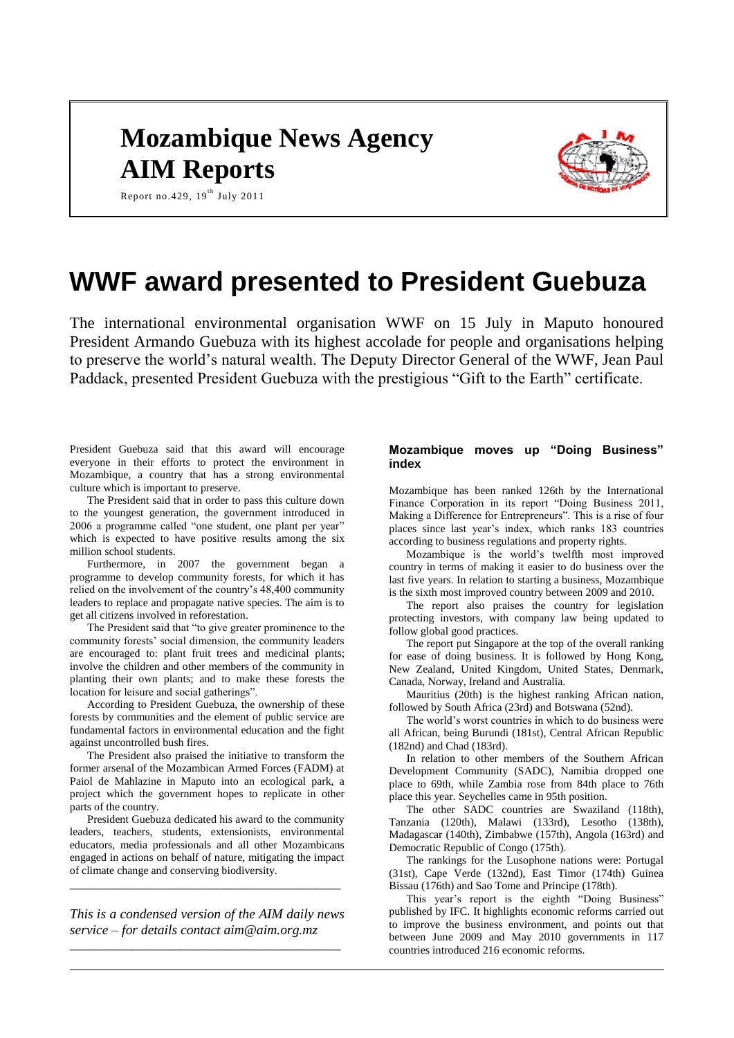# **Mozambique News Agency AIM Reports**



Report no. 429,  $19^{th}$  July 2011

# **WWF award presented to President Guebuza**

The international environmental organisation WWF on 15 July in Maputo honoured President Armando Guebuza with its highest accolade for people and organisations helping to preserve the world's natural wealth. The Deputy Director General of the WWF, Jean Paul Paddack, presented President Guebuza with the prestigious "Gift to the Earth" certificate.

President Guebuza said that this award will encourage everyone in their efforts to protect the environment in Mozambique, a country that has a strong environmental culture which is important to preserve.

The President said that in order to pass this culture down to the youngest generation, the government introduced in 2006 a programme called "one student, one plant per year" which is expected to have positive results among the six million school students.

Furthermore, in 2007 the government began a programme to develop community forests, for which it has relied on the involvement of the country's 48,400 community leaders to replace and propagate native species. The aim is to get all citizens involved in reforestation.

The President said that "to give greater prominence to the community forests' social dimension, the community leaders are encouraged to: plant fruit trees and medicinal plants; involve the children and other members of the community in planting their own plants; and to make these forests the location for leisure and social gatherings".

According to President Guebuza, the ownership of these forests by communities and the element of public service are fundamental factors in environmental education and the fight against uncontrolled bush fires.

The President also praised the initiative to transform the former arsenal of the Mozambican Armed Forces (FADM) at Paiol de Mahlazine in Maputo into an ecological park, a project which the government hopes to replicate in other parts of the country.

President Guebuza dedicated his award to the community leaders, teachers, students, extensionists, environmental educators, media professionals and all other Mozambicans engaged in actions on behalf of nature, mitigating the impact of climate change and conserving biodiversity.

*This is a condensed version of the AIM daily news service – for details contact [aim@aim.org.mz](mailto:aim@aim.org.mz) \_\_\_\_\_\_\_\_\_\_\_\_\_\_\_\_\_\_\_\_\_\_\_\_\_\_\_\_\_\_\_\_\_\_\_\_\_\_\_\_\_\_\_\_*

*\_\_\_\_\_\_\_\_\_\_\_\_\_\_\_\_\_\_\_\_\_\_\_\_\_\_\_\_\_\_\_\_\_\_\_\_\_\_\_\_\_\_\_\_*

# **Mozambique moves up "Doing Business" index**

Mozambique has been ranked 126th by the International Finance Corporation in its report "Doing Business 2011, Making a Difference for Entrepreneurs". This is a rise of four places since last year's index, which ranks 183 countries according to business regulations and property rights.

Mozambique is the world's twelfth most improved country in terms of making it easier to do business over the last five years. In relation to starting a business, Mozambique is the sixth most improved country between 2009 and 2010.

The report also praises the country for legislation protecting investors, with company law being updated to follow global good practices.

The report put Singapore at the top of the overall ranking for ease of doing business. It is followed by Hong Kong, New Zealand, United Kingdom, United States, Denmark, Canada, Norway, Ireland and Australia.

Mauritius (20th) is the highest ranking African nation, followed by South Africa (23rd) and Botswana (52nd).

The world's worst countries in which to do business were all African, being Burundi (181st), Central African Republic (182nd) and Chad (183rd).

In relation to other members of the Southern African Development Community (SADC), Namibia dropped one place to 69th, while Zambia rose from 84th place to 76th place this year. Seychelles came in 95th position.

The other SADC countries are Swaziland (118th), Tanzania (120th), Malawi (133rd), Lesotho (138th), Madagascar (140th), Zimbabwe (157th), Angola (163rd) and Democratic Republic of Congo (175th).

The rankings for the Lusophone nations were: Portugal (31st), Cape Verde (132nd), East Timor (174th) Guinea Bissau (176th) and Sao Tome and Principe (178th).

This year's report is the eighth "Doing Business" published by IFC. It highlights economic reforms carried out to improve the business environment, and points out that between June 2009 and May 2010 governments in 117 countries introduced 216 economic reforms.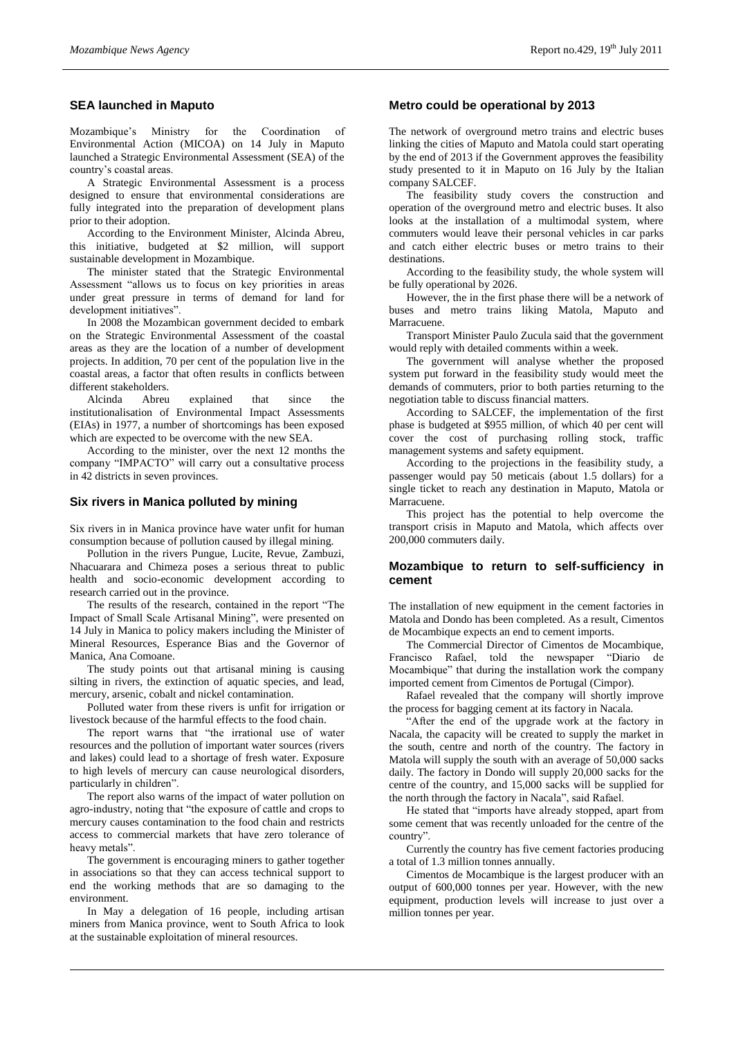# **SEA launched in Maputo**

Mozambique's Ministry for the Coordination Environmental Action (MICOA) on 14 July in Maputo launched a Strategic Environmental Assessment (SEA) of the country's coastal areas.

A Strategic Environmental Assessment is a process designed to ensure that environmental considerations are fully integrated into the preparation of development plans prior to their adoption.

According to the Environment Minister, Alcinda Abreu, this initiative, budgeted at \$2 million, will support sustainable development in Mozambique.

The minister stated that the Strategic Environmental Assessment "allows us to focus on key priorities in areas under great pressure in terms of demand for land for development initiatives".

In 2008 the Mozambican government decided to embark on the Strategic Environmental Assessment of the coastal areas as they are the location of a number of development projects. In addition, 70 per cent of the population live in the coastal areas, a factor that often results in conflicts between different stakeholders.

Alcinda Abreu explained that since the institutionalisation of Environmental Impact Assessments (EIAs) in 1977, a number of shortcomings has been exposed which are expected to be overcome with the new SEA.

According to the minister, over the next 12 months the company "IMPACTO" will carry out a consultative process in 42 districts in seven provinces.

## **Six rivers in Manica polluted by mining**

Six rivers in in Manica province have water unfit for human consumption because of pollution caused by illegal mining.

Pollution in the rivers Pungue, Lucite, Revue, Zambuzi, Nhacuarara and Chimeza poses a serious threat to public health and socio-economic development according to research carried out in the province.

The results of the research, contained in the report "The Impact of Small Scale Artisanal Mining", were presented on 14 July in Manica to policy makers including the Minister of Mineral Resources, Esperance Bias and the Governor of Manica, Ana Comoane.

The study points out that artisanal mining is causing silting in rivers, the extinction of aquatic species, and lead, mercury, arsenic, cobalt and nickel contamination.

Polluted water from these rivers is unfit for irrigation or livestock because of the harmful effects to the food chain.

The report warns that "the irrational use of water resources and the pollution of important water sources (rivers and lakes) could lead to a shortage of fresh water. Exposure to high levels of mercury can cause neurological disorders, particularly in children".

The report also warns of the impact of water pollution on agro-industry, noting that "the exposure of cattle and crops to mercury causes contamination to the food chain and restricts access to commercial markets that have zero tolerance of heavy metals".

The government is encouraging miners to gather together in associations so that they can access technical support to end the working methods that are so damaging to the environment.

In May a delegation of 16 people, including artisan miners from Manica province, went to South Africa to look at the sustainable exploitation of mineral resources.

## **Metro could be operational by 2013**

The network of overground metro trains and electric buses linking the cities of Maputo and Matola could start operating by the end of 2013 if the Government approves the feasibility study presented to it in Maputo on 16 July by the Italian company SALCEF.

The feasibility study covers the construction and operation of the overground metro and electric buses. It also looks at the installation of a multimodal system, where commuters would leave their personal vehicles in car parks and catch either electric buses or metro trains to their destinations.

According to the feasibility study, the whole system will be fully operational by 2026.

However, the in the first phase there will be a network of buses and metro trains liking Matola, Maputo and **Marracuene** 

Transport Minister Paulo Zucula said that the government would reply with detailed comments within a week.

The government will analyse whether the proposed system put forward in the feasibility study would meet the demands of commuters, prior to both parties returning to the negotiation table to discuss financial matters.

According to SALCEF, the implementation of the first phase is budgeted at \$955 million, of which 40 per cent will cover the cost of purchasing rolling stock, traffic management systems and safety equipment.

According to the projections in the feasibility study, a passenger would pay 50 meticais (about 1.5 dollars) for a single ticket to reach any destination in Maputo, Matola or Marracuene.

This project has the potential to help overcome the transport crisis in Maputo and Matola, which affects over 200,000 commuters daily.

## **Mozambique to return to self-sufficiency in cement**

The installation of new equipment in the cement factories in Matola and Dondo has been completed. As a result, Cimentos de Mocambique expects an end to cement imports.

The Commercial Director of Cimentos de Mocambique, Francisco Rafael, told the newspaper "Diario Mocambique" that during the installation work the company imported cement from Cimentos de Portugal (Cimpor).

Rafael revealed that the company will shortly improve the process for bagging cement at its factory in Nacala.

"After the end of the upgrade work at the factory in Nacala, the capacity will be created to supply the market in the south, centre and north of the country. The factory in Matola will supply the south with an average of 50,000 sacks daily. The factory in Dondo will supply 20,000 sacks for the centre of the country, and 15,000 sacks will be supplied for the north through the factory in Nacala", said Rafael.

He stated that "imports have already stopped, apart from some cement that was recently unloaded for the centre of the country".

Currently the country has five cement factories producing a total of 1.3 million tonnes annually.

Cimentos de Mocambique is the largest producer with an output of 600,000 tonnes per year. However, with the new equipment, production levels will increase to just over a million tonnes per year.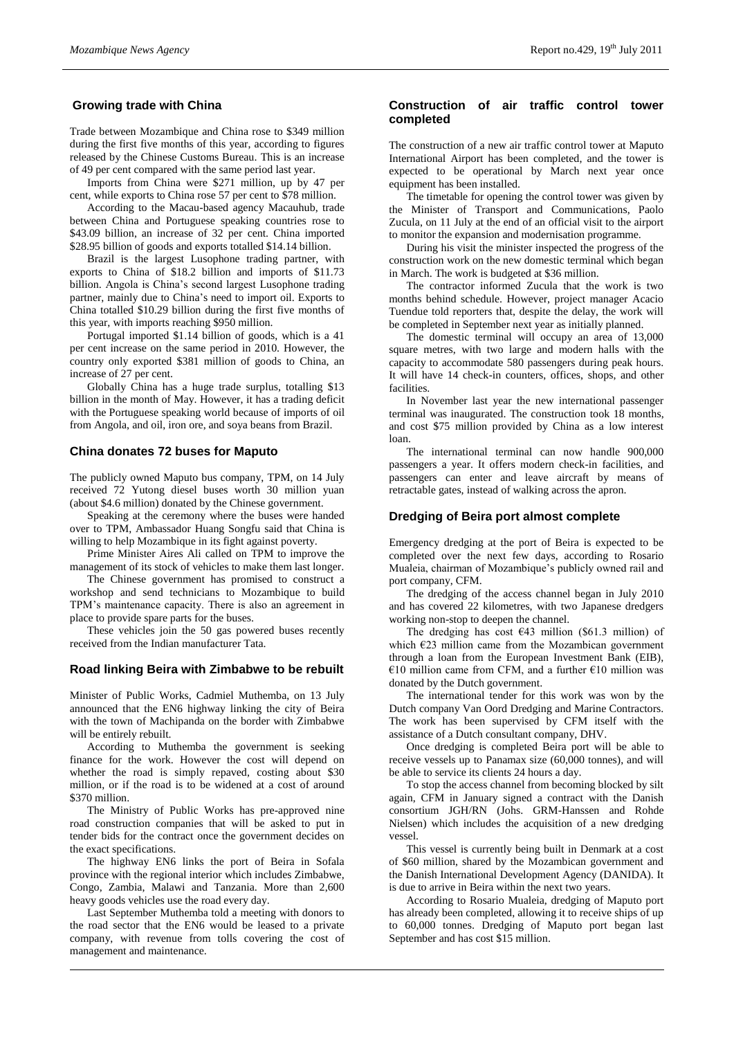## **Growing trade with China**

Trade between Mozambique and China rose to \$349 million during the first five months of this year, according to figures released by the Chinese Customs Bureau. This is an increase of 49 per cent compared with the same period last year.

Imports from China were \$271 million, up by 47 per cent, while exports to China rose 57 per cent to \$78 million.

According to the Macau-based agency Macauhub, trade between China and Portuguese speaking countries rose to \$43.09 billion, an increase of 32 per cent. China imported \$28.95 billion of goods and exports totalled \$14.14 billion.

Brazil is the largest Lusophone trading partner, with exports to China of \$18.2 billion and imports of \$11.73 billion. Angola is China's second largest Lusophone trading partner, mainly due to China's need to import oil. Exports to China totalled \$10.29 billion during the first five months of this year, with imports reaching \$950 million.

Portugal imported \$1.14 billion of goods, which is a 41 per cent increase on the same period in 2010. However, the country only exported \$381 million of goods to China, an increase of 27 per cent.

Globally China has a huge trade surplus, totalling \$13 billion in the month of May. However, it has a trading deficit with the Portuguese speaking world because of imports of oil from Angola, and oil, iron ore, and soya beans from Brazil.

#### **China donates 72 buses for Maputo**

The publicly owned Maputo bus company, TPM, on 14 July received 72 Yutong diesel buses worth 30 million yuan (about \$4.6 million) donated by the Chinese government.

Speaking at the ceremony where the buses were handed over to TPM, Ambassador Huang Songfu said that China is willing to help Mozambique in its fight against poverty.

Prime Minister Aires Ali called on TPM to improve the management of its stock of vehicles to make them last longer.

The Chinese government has promised to construct a workshop and send technicians to Mozambique to build TPM's maintenance capacity. There is also an agreement in place to provide spare parts for the buses.

These vehicles join the 50 gas powered buses recently received from the Indian manufacturer Tata.

#### **Road linking Beira with Zimbabwe to be rebuilt**

Minister of Public Works, Cadmiel Muthemba, on 13 July announced that the EN6 highway linking the city of Beira with the town of Machipanda on the border with Zimbabwe will be entirely rebuilt.

According to Muthemba the government is seeking finance for the work. However the cost will depend on whether the road is simply repaved, costing about \$30 million, or if the road is to be widened at a cost of around \$370 million.

The Ministry of Public Works has pre-approved nine road construction companies that will be asked to put in tender bids for the contract once the government decides on the exact specifications.

The highway EN6 links the port of Beira in Sofala province with the regional interior which includes Zimbabwe, Congo, Zambia, Malawi and Tanzania. More than 2,600 heavy goods vehicles use the road every day.

Last September Muthemba told a meeting with donors to the road sector that the EN6 would be leased to a private company, with revenue from tolls covering the cost of management and maintenance.

### **Construction of air traffic control tower completed**

The construction of a new air traffic control tower at Maputo International Airport has been completed, and the tower is expected to be operational by March next year once equipment has been installed.

The timetable for opening the control tower was given by the Minister of Transport and Communications, Paolo Zucula, on 11 July at the end of an official visit to the airport to monitor the expansion and modernisation programme.

During his visit the minister inspected the progress of the construction work on the new domestic terminal which began in March. The work is budgeted at \$36 million.

The contractor informed Zucula that the work is two months behind schedule. However, project manager Acacio Tuendue told reporters that, despite the delay, the work will be completed in September next year as initially planned.

The domestic terminal will occupy an area of 13,000 square metres, with two large and modern halls with the capacity to accommodate 580 passengers during peak hours. It will have 14 check-in counters, offices, shops, and other facilities.

In November last year the new international passenger terminal was inaugurated. The construction took 18 months, and cost \$75 million provided by China as a low interest loan.

The international terminal can now handle 900,000 passengers a year. It offers modern check-in facilities, and passengers can enter and leave aircraft by means of retractable gates, instead of walking across the apron.

#### **Dredging of Beira port almost complete**

Emergency dredging at the port of Beira is expected to be completed over the next few days, according to Rosario Mualeia, chairman of Mozambique's publicly owned rail and port company, CFM.

The dredging of the access channel began in July 2010 and has covered 22 kilometres, with two Japanese dredgers working non-stop to deepen the channel.

The dredging has cost  $€43$  million (\$61.3 million) of which €23 million came from the Mozambican government through a loan from the European Investment Bank (EIB), €10 million came from CFM, and a further  $€10$  million was donated by the Dutch government.

The international tender for this work was won by the Dutch company Van Oord Dredging and Marine Contractors. The work has been supervised by CFM itself with the assistance of a Dutch consultant company, DHV.

Once dredging is completed Beira port will be able to receive vessels up to Panamax size (60,000 tonnes), and will be able to service its clients 24 hours a day.

To stop the access channel from becoming blocked by silt again, CFM in January signed a contract with the Danish consortium JGH/RN (Johs. GRM-Hanssen and Rohde Nielsen) which includes the acquisition of a new dredging vessel.

This vessel is currently being built in Denmark at a cost of \$60 million, shared by the Mozambican government and the Danish International Development Agency (DANIDA). It is due to arrive in Beira within the next two years.

According to Rosario Mualeia, dredging of Maputo port has already been completed, allowing it to receive ships of up to 60,000 tonnes. Dredging of Maputo port began last September and has cost \$15 million.